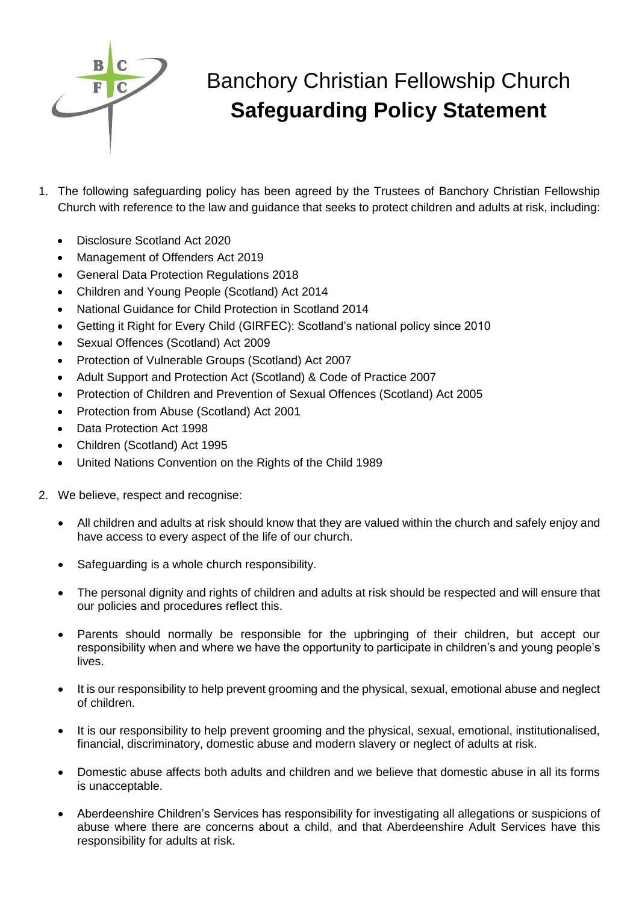

## Banchory Christian Fellowship Church **Safeguarding Policy Statement**

- 1. The following safeguarding policy has been agreed by the Trustees of Banchory Christian Fellowship Church with reference to the law and guidance that seeks to protect children and adults at risk, including:
	- Disclosure Scotland Act 2020
	- Management of Offenders Act 2019
	- General Data Protection Regulations 2018
	- Children and Young People (Scotland) Act 2014
	- National Guidance for Child Protection in Scotland 2014
	- Getting it Right for Every Child (GIRFEC): Scotland's national policy since 2010
	- Sexual Offences (Scotland) Act 2009
	- Protection of Vulnerable Groups (Scotland) Act 2007
	- Adult Support and Protection Act (Scotland) & Code of Practice 2007
	- Protection of Children and Prevention of Sexual Offences (Scotland) Act 2005
	- Protection from Abuse (Scotland) Act 2001
	- Data Protection Act 1998
	- Children (Scotland) Act 1995
	- United Nations Convention on the Rights of the Child 1989
- 2. We believe, respect and recognise:
	- All children and adults at risk should know that they are valued within the church and safely enjoy and have access to every aspect of the life of our church.
	- Safeguarding is a whole church responsibility.
	- The personal dignity and rights of children and adults at risk should be respected and will ensure that our policies and procedures reflect this.
	- Parents should normally be responsible for the upbringing of their children, but accept our responsibility when and where we have the opportunity to participate in children's and young people's lives.
	- It is our responsibility to help prevent grooming and the physical, sexual, emotional abuse and neglect of children.
	- It is our responsibility to help prevent grooming and the physical, sexual, emotional, institutionalised, financial, discriminatory, domestic abuse and modern slavery or neglect of adults at risk.
	- Domestic abuse affects both adults and children and we believe that domestic abuse in all its forms is unacceptable.
	- Aberdeenshire Children's Services has responsibility for investigating all allegations or suspicions of abuse where there are concerns about a child, and that Aberdeenshire Adult Services have this responsibility for adults at risk.